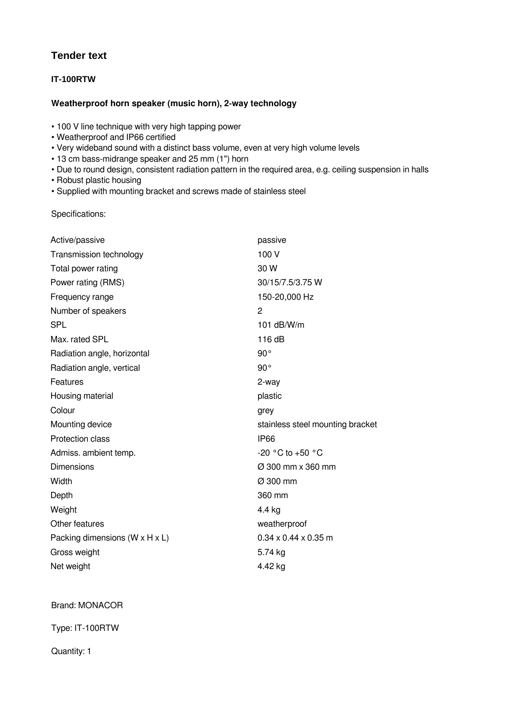## **Tender text**

## **IT-100RTW**

## **Weatherproof horn speaker (music horn), 2‑way technology**

• 100 V line technique with very high tapping power

- Weatherproof and IP66 certified
- Very wideband sound with a distinct bass volume, even at very high volume levels
- 13 cm bass-midrange speaker and 25 mm (1") horn
- Due to round design, consistent radiation pattern in the required area, e.g. ceiling suspension in halls
- Robust plastic housing
- Supplied with mounting bracket and screws made of stainless steel

Specifications:

| Active/passive                               | passive                          |
|----------------------------------------------|----------------------------------|
| Transmission technology                      | 100 V                            |
| Total power rating                           | 30 W                             |
| Power rating (RMS)                           | 30/15/7.5/3.75 W                 |
| Frequency range                              | 150-20,000 Hz                    |
| Number of speakers                           | 2                                |
| <b>SPL</b>                                   | 101 $dB/W/m$                     |
| Max. rated SPL                               | 116dB                            |
| Radiation angle, horizontal                  | $90^{\circ}$                     |
| Radiation angle, vertical                    | 90°                              |
| Features                                     | 2-way                            |
| Housing material                             | plastic                          |
|                                              |                                  |
| Colour                                       | grey                             |
| Mounting device                              | stainless steel mounting bracket |
| Protection class                             | <b>IP66</b>                      |
| Admiss. ambient temp.                        | -20 °C to +50 °C                 |
| <b>Dimensions</b>                            | $\varnothing$ 300 mm x 360 mm    |
| Width                                        | Ø 300 mm                         |
| Depth                                        | 360 mm                           |
| Weight                                       | 4.4 kg                           |
| Other features                               | weatherproof                     |
| Packing dimensions ( $W \times H \times L$ ) | $0.34 \times 0.44 \times 0.35$ m |
| Gross weight                                 | 5.74 kg                          |

## Brand: MONACOR

Type: IT-100RTW

Quantity: 1